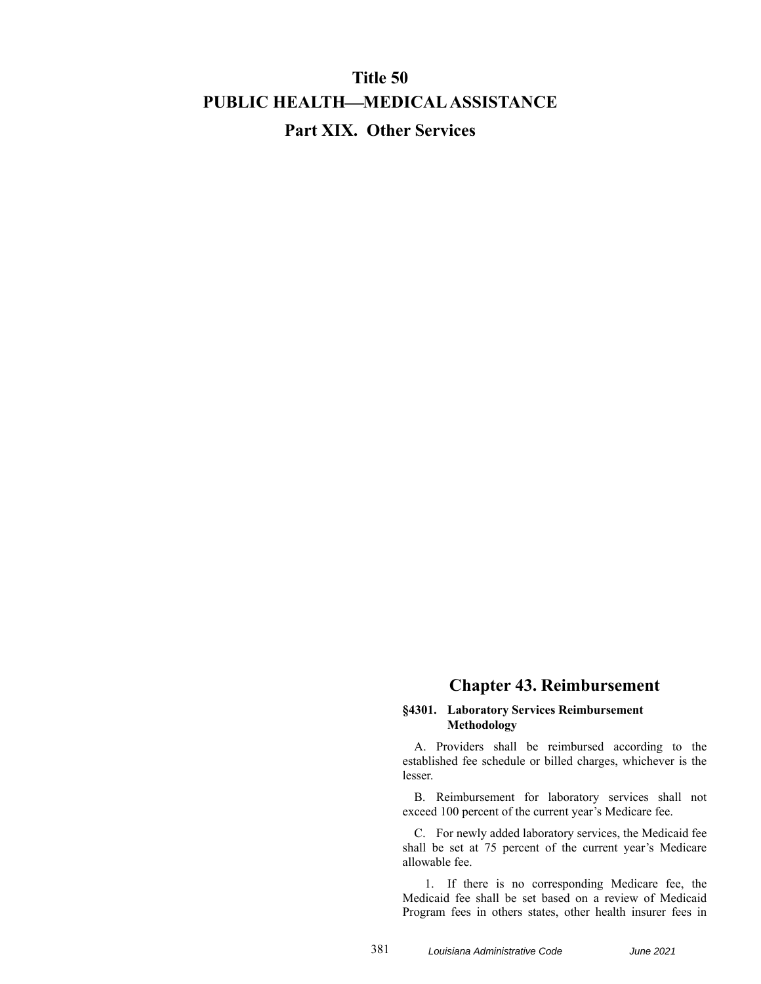## **Title 50 PUBLIC HEALTHMEDICAL ASSISTANCE Part XIX. Other Services**

## **Chapter 43. Reimbursement**

## **§4301. Laboratory Services Reimbursement Methodology**

A. Providers shall be reimbursed according to the established fee schedule or billed charges, whichever is the lesser.

B. Reimbursement for laboratory services shall not exceed 100 percent of the current year's Medicare fee.

C. For newly added laboratory services, the Medicaid fee shall be set at 75 percent of the current year's Medicare allowable fee.

1. If there is no corresponding Medicare fee, the Medicaid fee shall be set based on a review of Medicaid Program fees in others states, other health insurer fees in